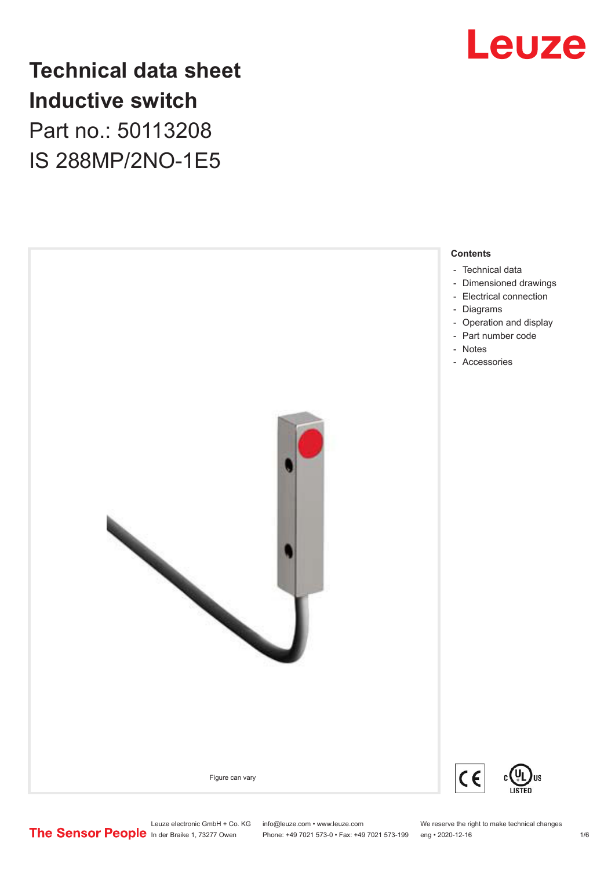

# **Technical data sheet Inductive switch** Part no.: 50113208 IS 288MP/2NO-1E5



Leuze electronic GmbH + Co. KG info@leuze.com • www.leuze.com We reserve the right to make technical changes<br>
The Sensor People in der Braike 1, 73277 Owen Phone: +49 7021 573-0 • Fax: +49 7021 573-199 eng • 2020-12-16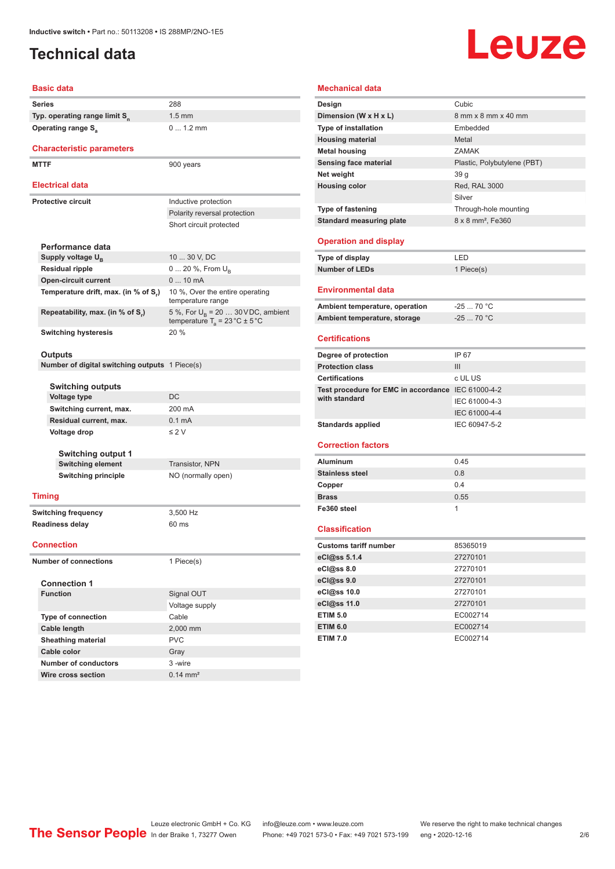### <span id="page-1-0"></span>**Technical data**

# Leuze

#### **Basic data Series** 288 **Typ. operating range limit S<sup>n</sup>** 1.5 mm **Operating range S<sub>a</sub>** 0 ... 1.2 mm **Characteristic parameters** MTTF 900 years **Electrical data Protective circuit** Inductive protection Polarity reversal protection Short circuit protected **Performance data Supply voltage U<sub>B</sub>** 10 ... 30 V, DC **Residual ripple** 0 ... 20 %, From U<sub>B</sub> **Open-circuit current** 0 ... 10 mA **Temperature drift, max. (in % of S<sup>r</sup> )** 10 %, Over the entire operating temperature range **Repeatability, max. (in % of S<sup>r</sup> )** 5 %, For  $U_B = 20$  ... 30 V DC, ambient temperature T<sub>a</sub> = 23 °C  $\pm$  5 °C **Switching hysteresis** 20 % **Outputs Number of digital switching outputs** 1 Piece(s) **Switching outputs Voltage type** DC **Switching current, max.** 200 mA **Residual current, max.** 0.1 mA **Voltage drop** ≤ 2 V **Switching output 1 Switching element** Transistor, NPN **Switching principle** NO (normally open) **Timing Switching frequency** 3,500 Hz **Readiness delay** 60 ms **Connection Number of connections** 1 Piece(s) **Connection 1 Signal OUT** Voltage supply **Type of connection** Cable **Cable length** 2,000 mm **Sheathing material** PVC **Cable color** Gray **Number of conductors** 3 -wire

| <b>Mechanical data</b>                             |                               |
|----------------------------------------------------|-------------------------------|
| Design                                             | Cubic                         |
| Dimension (W x H x L)                              | 8 mm x 8 mm x 40 mm           |
| <b>Type of installation</b>                        | Embedded                      |
| <b>Housing material</b>                            | Metal                         |
| <b>Metal housing</b>                               | <b>ZAMAK</b>                  |
| <b>Sensing face material</b>                       | Plastic, Polybutylene (PBT)   |
| Net weight                                         | 39 <sub>g</sub>               |
| <b>Housing color</b>                               | Red, RAL 3000                 |
|                                                    | Silver                        |
| Type of fastening                                  | Through-hole mounting         |
| <b>Standard measuring plate</b>                    | 8 x 8 mm <sup>2</sup> , Fe360 |
| <b>Operation and display</b>                       |                               |
| Type of display                                    | LED                           |
| <b>Number of LEDs</b>                              | 1 Piece(s)                    |
| <b>Environmental data</b>                          |                               |
| Ambient temperature, operation                     | $-2570 °C$                    |
| Ambient temperature, storage                       | $-25$ 70 °C                   |
|                                                    |                               |
| <b>Certifications</b>                              |                               |
| Degree of protection                               | IP 67                         |
| <b>Protection class</b>                            | III                           |
| <b>Certifications</b>                              | c UL US                       |
| Test procedure for EMC in accordance IEC 61000-4-2 |                               |
| with standard                                      | IEC 61000-4-3                 |
|                                                    | IEC 61000-4-4                 |
| <b>Standards applied</b>                           | IEC 60947-5-2                 |
| <b>Correction factors</b>                          |                               |
|                                                    |                               |
| <b>Aluminum</b>                                    | 0.45                          |
| <b>Stainless steel</b>                             | 0.8                           |
| Copper                                             | 0.4                           |
| <b>Brass</b>                                       | 0.55                          |
| Fe360 steel                                        | 1                             |
| <b>Classification</b>                              |                               |
| <b>Customs tariff number</b>                       | 85365019                      |
|                                                    | 27270101                      |
| eCl@ss 8.0                                         | 27270101                      |
| eCl@ss 9.0                                         | 27270101                      |
| eCl@ss 10.0                                        | 27270101                      |
| eCl@ss 11.0                                        | 27270101                      |
| <b>ETIM 5.0</b>                                    | EC002714                      |
| <b>ETIM 6.0</b>                                    | EC002714                      |
| <b>ETIM 7.0</b>                                    | EC002714                      |
|                                                    |                               |

Leuze electronic GmbH + Co. KG info@leuze.com • www.leuze.com We reserve the right to make technical changes<br>
The Sensor People in der Braike 1, 73277 Owen Phone: +49 7021 573-0 • Fax: +49 7021 573-199 eng • 2020-12-16

**Wire cross section** 0.14 mm<sup>2</sup>

Phone: +49 7021 573-0 • Fax: +49 7021 573-199 eng • 2020-12-16 2/6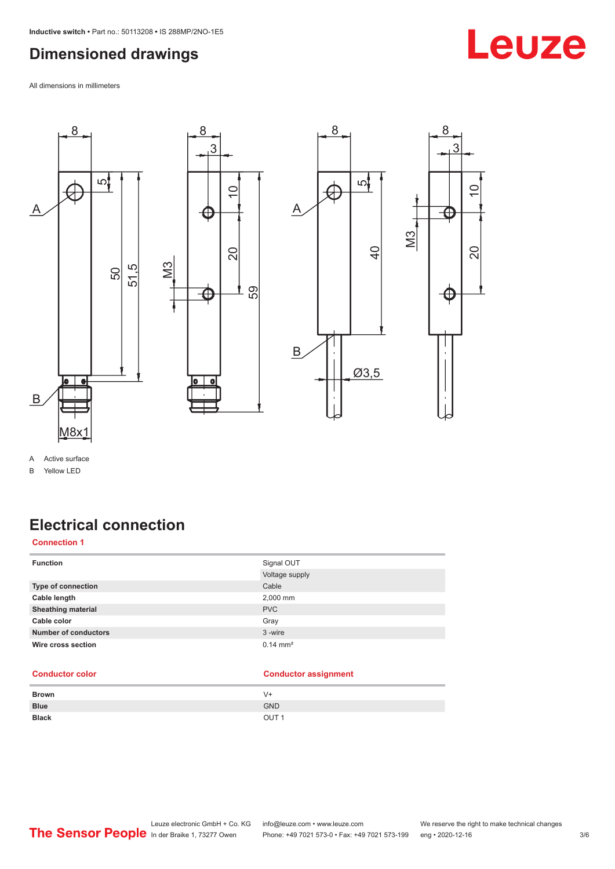### <span id="page-2-0"></span>**Dimensioned drawings**

All dimensions in millimeters



A Active surface

B Yellow LED

## **Electrical connection**

#### **Connection 1**

| <b>Function</b>             | Signal OUT<br>Voltage supply |
|-----------------------------|------------------------------|
| Type of connection          | Cable                        |
| Cable length                | 2,000 mm                     |
| <b>Sheathing material</b>   | <b>PVC</b>                   |
| Cable color                 | Gray                         |
| <b>Number of conductors</b> | 3-wire                       |
| Wire cross section          | $0.14 \text{ mm}^2$          |

| <b>Conductor color</b> | <b>Conductor assignment</b> |
|------------------------|-----------------------------|
|------------------------|-----------------------------|

| <b>Brown</b> | V+               |
|--------------|------------------|
| <b>Blue</b>  | <b>GND</b>       |
| <b>Black</b> | OUT <sub>1</sub> |

#### Leuze electronic GmbH + Co. KG info@leuze.com • www.leuze.com We reserve the right to make technical changes<br>
The Sensor People in der Braike 1, 73277 Owen Phone: +49 7021 573-0 • Fax: +49 7021 573-199 eng • 2020-12-16 Phone: +49 7021 573-0 • Fax: +49 7021 573-199 eng • 2020-12-16 3/6

# Leuze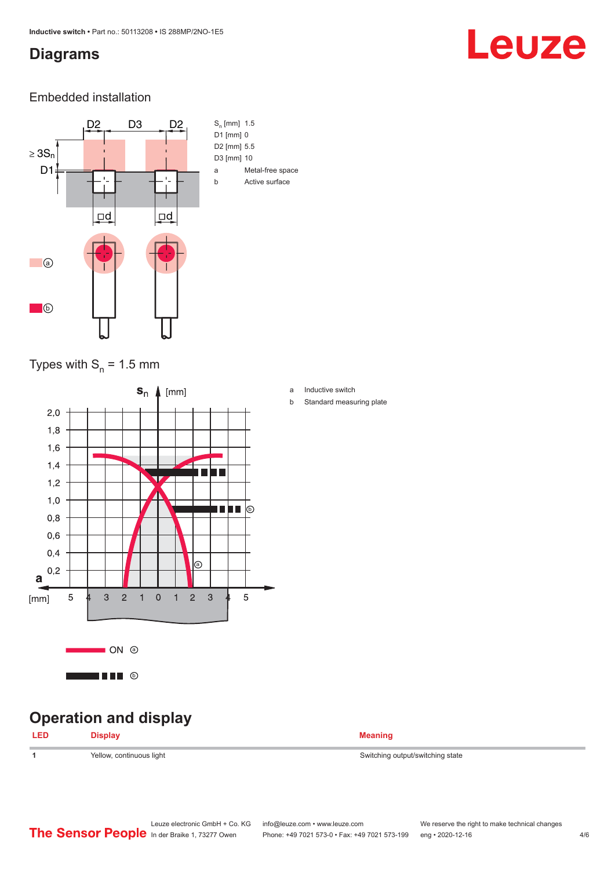#### <span id="page-3-0"></span>**Diagrams**

# Leuze

#### Embedded installation



Types with  $S_{n}$  = 1.5 mm



### **Operation and display**

| <b>LED</b> | Display                  | <b>Meaning</b>                   |
|------------|--------------------------|----------------------------------|
|            | Yellow, continuous light | Switching output/switching state |

Leuze electronic GmbH + Co. KG info@leuze.com • www.leuze.com We reserve the right to make technical changes<br> **The Sensor People** In der Braike 1, 73277 Owen Phone: +49 7021 573-0 • Fax: +49 7021 573-199 eng • 2020-12-16 Phone: +49 7021 573-0 • Fax: +49 7021 573-199 eng • 2020-12-16 4/6

#### a Inductive switch

b Standard measuring plate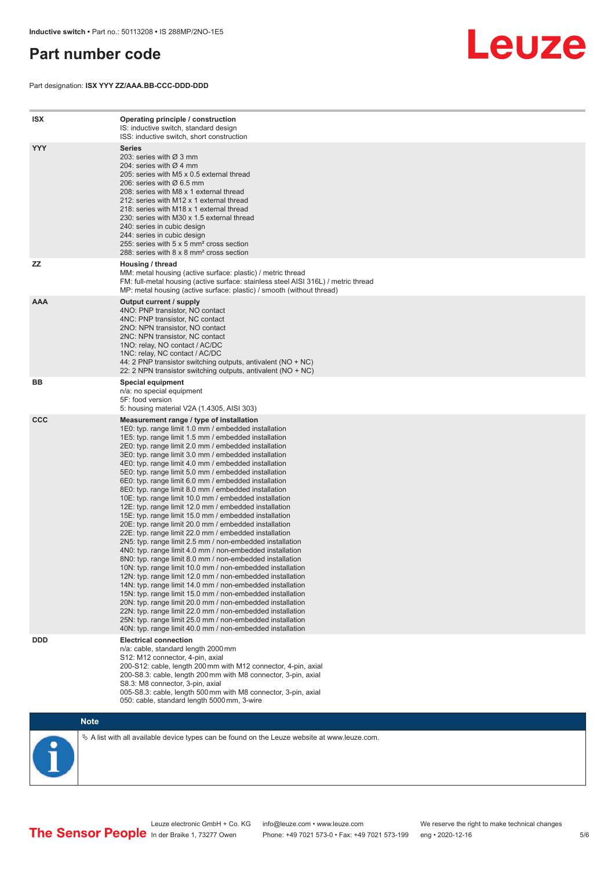#### <span id="page-4-0"></span>**Part number code**

Part designation: **ISX YYY ZZ/AAA.BB-CCC-DDD-DDD**



| <b>ISX</b> | Operating principle / construction<br>IS: inductive switch, standard design<br>ISS: inductive switch, short construction                                                                                                                                                                                                                                                                                                                                                                                                                                                                                                                                                                                                                                                                                                                                                                                                                                                                                                                                                                                                                                                                                                                                                                                                                                                                                                                                                                          |
|------------|---------------------------------------------------------------------------------------------------------------------------------------------------------------------------------------------------------------------------------------------------------------------------------------------------------------------------------------------------------------------------------------------------------------------------------------------------------------------------------------------------------------------------------------------------------------------------------------------------------------------------------------------------------------------------------------------------------------------------------------------------------------------------------------------------------------------------------------------------------------------------------------------------------------------------------------------------------------------------------------------------------------------------------------------------------------------------------------------------------------------------------------------------------------------------------------------------------------------------------------------------------------------------------------------------------------------------------------------------------------------------------------------------------------------------------------------------------------------------------------------------|
| <b>YYY</b> | <b>Series</b><br>203: series with Ø 3 mm<br>204: series with Ø 4 mm<br>205: series with M5 x 0.5 external thread<br>206: series with $\varnothing$ 6.5 mm<br>208: series with M8 x 1 external thread<br>212: series with M12 x 1 external thread<br>218: series with M18 x 1 external thread<br>230: series with M30 x 1.5 external thread<br>240: series in cubic design<br>244: series in cubic design<br>255: series with 5 x 5 mm <sup>2</sup> cross section<br>288: series with 8 x 8 mm <sup>2</sup> cross section                                                                                                                                                                                                                                                                                                                                                                                                                                                                                                                                                                                                                                                                                                                                                                                                                                                                                                                                                                          |
| <b>ZZ</b>  | Housing / thread<br>MM: metal housing (active surface: plastic) / metric thread<br>FM: full-metal housing (active surface: stainless steel AISI 316L) / metric thread<br>MP: metal housing (active surface: plastic) / smooth (without thread)                                                                                                                                                                                                                                                                                                                                                                                                                                                                                                                                                                                                                                                                                                                                                                                                                                                                                                                                                                                                                                                                                                                                                                                                                                                    |
| <b>AAA</b> | Output current / supply<br>4NO: PNP transistor, NO contact<br>4NC: PNP transistor, NC contact<br>2NO: NPN transistor, NO contact<br>2NC: NPN transistor, NC contact<br>1NO: relay, NO contact / AC/DC<br>1NC: relay, NC contact / AC/DC<br>44: 2 PNP transistor switching outputs, antivalent (NO + NC)<br>22: 2 NPN transistor switching outputs, antivalent (NO + NC)                                                                                                                                                                                                                                                                                                                                                                                                                                                                                                                                                                                                                                                                                                                                                                                                                                                                                                                                                                                                                                                                                                                           |
| BB         | <b>Special equipment</b><br>n/a: no special equipment<br>5F: food version<br>5: housing material V2A (1.4305, AISI 303)                                                                                                                                                                                                                                                                                                                                                                                                                                                                                                                                                                                                                                                                                                                                                                                                                                                                                                                                                                                                                                                                                                                                                                                                                                                                                                                                                                           |
| <b>CCC</b> | Measurement range / type of installation<br>1E0: typ. range limit 1.0 mm / embedded installation<br>1E5: typ. range limit 1.5 mm / embedded installation<br>2E0: typ. range limit 2.0 mm / embedded installation<br>3E0: typ. range limit 3.0 mm / embedded installation<br>4E0: typ. range limit 4.0 mm / embedded installation<br>5E0: typ. range limit 5.0 mm / embedded installation<br>6E0: typ. range limit 6.0 mm / embedded installation<br>8E0: typ. range limit 8.0 mm / embedded installation<br>10E: typ. range limit 10.0 mm / embedded installation<br>12E: typ. range limit 12.0 mm / embedded installation<br>15E: typ. range limit 15.0 mm / embedded installation<br>20E: typ. range limit 20.0 mm / embedded installation<br>22E: typ. range limit 22.0 mm / embedded installation<br>2N5: typ. range limit 2.5 mm / non-embedded installation<br>4N0: typ. range limit 4.0 mm / non-embedded installation<br>8N0: typ. range limit 8.0 mm / non-embedded installation<br>10N: typ. range limit 10.0 mm / non-embedded installation<br>12N: typ. range limit 12.0 mm / non-embedded installation<br>14N: typ. range limit 14.0 mm / non-embedded installation<br>15N: typ. range limit 15.0 mm / non-embedded installation<br>20N: typ. range limit 20.0 mm / non-embedded installation<br>22N: typ. range limit 22.0 mm / non-embedded installation<br>25N: typ. range limit 25.0 mm / non-embedded installation<br>40N: typ. range limit 40.0 mm / non-embedded installation |
| <b>DDD</b> | <b>Electrical connection</b><br>n/a: cable, standard length 2000 mm<br>S12: M12 connector, 4-pin, axial<br>200-S12: cable, length 200 mm with M12 connector, 4-pin, axial<br>200-S8.3: cable, length 200 mm with M8 connector, 3-pin, axial<br>S8.3: M8 connector, 3-pin, axial<br>005-S8.3: cable, length 500 mm with M8 connector, 3-pin, axial<br>050: cable, standard length 5000 mm, 3-wire                                                                                                                                                                                                                                                                                                                                                                                                                                                                                                                                                                                                                                                                                                                                                                                                                                                                                                                                                                                                                                                                                                  |



 $\%$  A list with all available device types can be found on the Leuze website at www.leuze.com.

Leuze electronic GmbH + Co. KG info@leuze.com • www.leuze.com We reserve the right to make technical changes In der Braike 1, 73277 Owen Phone: +49 7021 573-0 • Fax: +49 7021 573-199 eng • 2020-12-16